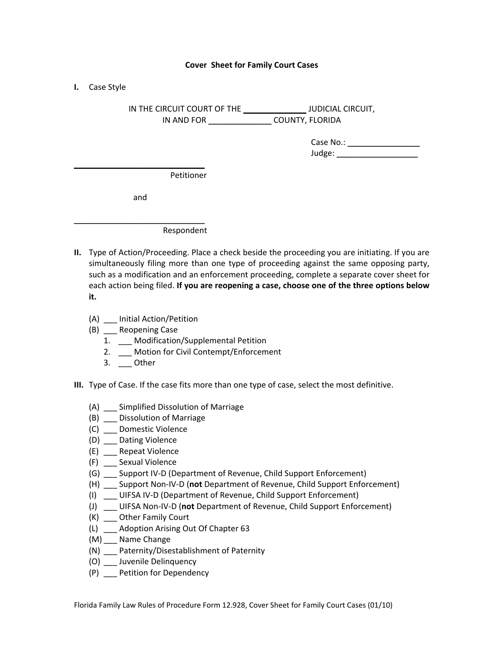## **Cover Sheet for Family Court Cases**

**I.** Case Style

IN THE CIRCUIT COURT OF THE \_\_\_\_\_\_\_\_\_\_\_\_\_\_ JUDICIAL CIRCUIT, IN AND FOR \_\_\_\_\_\_\_\_\_\_\_\_\_\_ COUNTY, FLORIDA

| Case No.: |  |
|-----------|--|
| Judge:    |  |

Petitioner

and

\_\_\_\_\_\_\_\_\_\_\_\_\_\_\_\_\_\_\_\_\_\_\_\_\_\_\_\_\_

\_\_\_\_\_\_\_\_\_\_\_\_\_\_\_\_\_\_\_\_\_\_\_\_\_\_\_\_\_

Respondent

- **II.** Type of Action/Proceeding. Place a check beside the proceeding you are initiating. If you are simultaneously filing more than one type of proceeding against the same opposing party, such as a modification and an enforcement proceeding, complete a separate cover sheet for each action being filed. **If you are reopening a case, choose one of the three options below it.** 
	- (A) \_\_\_ Initial Action/Petition
	- (B) \_\_\_ Reopening Case
		- 1. \_\_\_ Modification/Supplemental Petition
		- 2. \_\_\_ Motion for Civil Contempt/Enforcement
		- 3. Other
- **III.** Type of Case. If the case fits more than one type of case, select the most definitive.
	- (A) \_\_\_ Simplified Dissolution of Marriage
	- (B) \_\_\_ Dissolution of Marriage
	- (C) \_\_\_ Domestic Violence
	- (D) \_\_\_ Dating Violence
	- (E) \_\_\_ Repeat Violence
	- (F) \_\_\_ Sexual Violence
	- (G) \_\_\_ Support IV‐D (Department of Revenue, Child Support Enforcement)
	- (H) \_\_\_ Support Non‐IV‐D (**not** Department of Revenue, Child Support Enforcement)
	- (I) \_\_\_ UIFSA IV‐D (Department of Revenue, Child Support Enforcement)
	- (J) \_\_\_ UIFSA Non‐IV‐D (**not** Department of Revenue, Child Support Enforcement)
	- (K) \_\_\_ Other Family Court
	- (L) \_\_\_ Adoption Arising Out Of Chapter 63
	- (M) \_\_\_ Name Change
	- (N) \_\_\_ Paternity/Disestablishment of Paternity
	- (O) \_\_\_ Juvenile Delinquency
	- (P) \_\_\_ Petition for Dependency